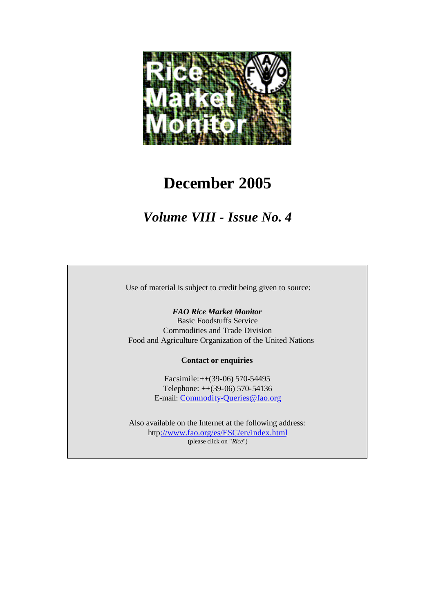

# **December 2005**

*Volume VIII - Issue No. 4*

Use of material is subject to credit being given to source:

#### *FAO Rice Market Monitor*

Basic Foodstuffs Service Commodities and Trade Division Food and Agriculture Organization of the United Nations

#### **Contact or enquiries**

Facsimile:++(39-06) 570-54495 Telephone: ++(39-06) 570-54136 E-mail: Commodity-Queries@fao.org

Also available on the Internet at the following address: http://www.fao.org/es/ESC/en/index.html (please click on "*Rice*")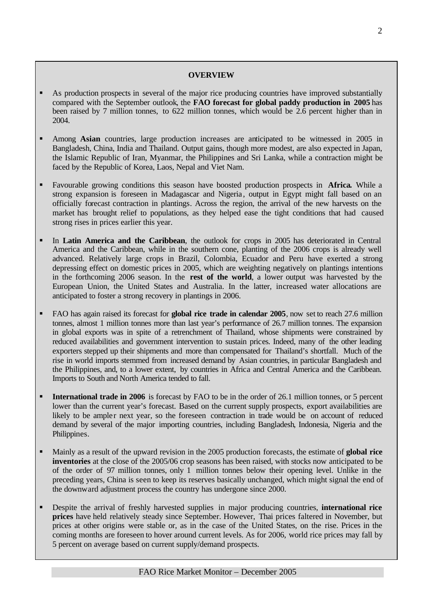#### **OVERVIEW**

- ß As production prospects in several of the major rice producing countries have improved substantially compared with the September outlook, the **FAO forecast for global paddy production in 2005** has been raised by 7 million tonnes, to 622 million tonnes, which would be 2.6 percent higher than in 2004.
- ß Among **Asian** countries, large production increases are anticipated to be witnessed in 2005 in Bangladesh, China, India and Thailand. Output gains, though more modest, are also expected in Japan, the Islamic Republic of Iran, Myanmar, the Philippines and Sri Lanka, while a contraction might be faced by the Republic of Korea, Laos, Nepal and Viet Nam.
- ß Favourable growing conditions this season have boosted production prospects in **Africa.** While a strong expansion is foreseen in Madagascar and Nigeria , output in Egypt might fall based on an officially forecast contraction in plantings. Across the region, the arrival of the new harvests on the market has brought relief to populations, as they helped ease the tight conditions that had caused strong rises in prices earlier this year.
- ß In **Latin America and the Caribbean**, the outlook for crops in 2005 has deteriorated in Central America and the Caribbean, while in the southern cone, planting of the 2006 crops is already well advanced. Relatively large crops in Brazil, Colombia, Ecuador and Peru have exerted a strong depressing effect on domestic prices in 2005, which are weighting negatively on plantings intentions in the forthcoming 2006 season. In the **rest of the world**, a lower output was harvested by the European Union, the United States and Australia. In the latter, increased water allocations are anticipated to foster a strong recovery in plantings in 2006.
- ß FAO has again raised its forecast for **global rice trade in calendar 2005**, now set to reach 27.6 million tonnes, almost 1 million tonnes more than last year's performance of 26.7 million tonnes. The expansion in global exports was in spite of a retrenchment of Thailand, whose shipments were constrained by reduced availabilities and government intervention to sustain prices. Indeed, many of the other leading exporters stepped up their shipments and more than compensated for Thailand's shortfall. Much of the rise in world imports stemmed from increased demand by Asian countries, in particular Bangladesh and the Philippines, and, to a lower extent, by countries in Africa and Central America and the Caribbean. Imports to South and North America tended to fall.
- ß **International trade in 2006** is forecast by FAO to be in the order of 26.1 million tonnes, or 5 percent lower than the current year's forecast. Based on the current supply prospects, export availabilities are likely to be ampler next year, so the foreseen contraction in trade would be on account of reduced demand by several of the major importing countries, including Bangladesh, Indonesia, Nigeria and the Philippines.
- ß Mainly as a result of the upward revision in the 2005 production forecasts, the estimate of **global rice inventories** at the close of the 2005/06 crop seasons has been raised, with stocks now anticipated to be of the order of 97 million tonnes, only 1 million tonnes below their opening level. Unlike in the preceding years, China is seen to keep its reserves basically unchanged, which might signal the end of the downward adjustment process the country has undergone since 2000.
- ß Despite the arrival of freshly harvested supplies in major producing countries, **international rice prices** have held relatively steady since September. However, Thai prices faltered in November, but prices at other origins were stable or, as in the case of the United States, on the rise. Prices in the coming months are foreseen to hover around current levels. As for 2006, world rice prices may fall by 5 percent on average based on current supply/demand prospects.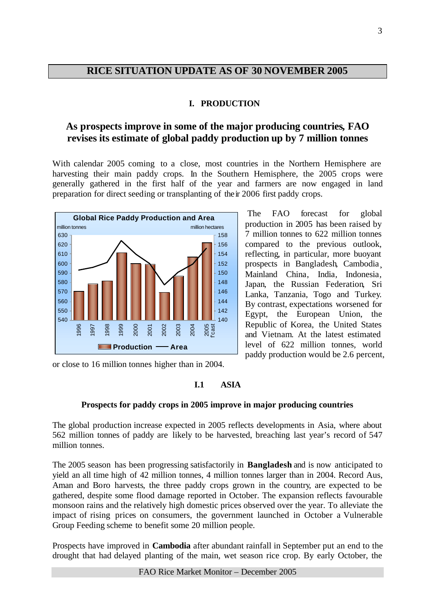# **RICE SITUATION UPDATE AS OF 30 NOVEMBER 2005**

# **I. PRODUCTION**

# **As prospects improve in some of the major producing countries, FAO revises its estimate of global paddy production up by 7 million tonnes**

With calendar 2005 coming to a close, most countries in the Northern Hemisphere are harvesting their main paddy crops. In the Southern Hemisphere, the 2005 crops were generally gathered in the first half of the year and farmers are now engaged in land preparation for direct seeding or transplanting of their 2006 first paddy crops.



The FAO forecast for global production in 2005 has been raised by 7 million tonnes to 622 million tonnes compared to the previous outlook, reflecting, in particular, more buoyant prospects in Bangladesh, Cambodia¸ Mainland China, India, Indonesia, Japan, the Russian Federation, Sri Lanka, Tanzania, Togo and Turkey. By contrast, expectations worsened for Egypt, the European Union, the Republic of Korea, the United States and Vietnam. At the latest estimated level of 622 million tonnes, world paddy production would be 2.6 percent,

or close to 16 million tonnes higher than in 2004.

# **I.1 ASIA**

# **Prospects for paddy crops in 2005 improve in major producing countries**

The global production increase expected in 2005 reflects developments in Asia, where about 562 million tonnes of paddy are likely to be harvested, breaching last year's record of 547 million tonnes.

The 2005 season has been progressing satisfactorily in **Bangladesh** and is now anticipated to yield an all time high of 42 million tonnes, 4 million tonnes larger than in 2004. Record Aus, Aman and Boro harvests, the three paddy crops grown in the country, are expected to be gathered, despite some flood damage reported in October. The expansion reflects favourable monsoon rains and the relatively high domestic prices observed over the year. To alleviate the impact of rising prices on consumers, the government launched in October a Vulnerable Group Feeding scheme to benefit some 20 million people.

Prospects have improved in **Cambodia** after abundant rainfall in September put an end to the drought that had delayed planting of the main, wet season rice crop. By early October, the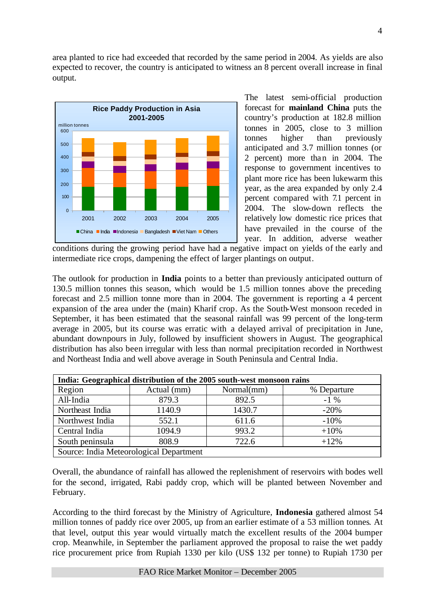area planted to rice had exceeded that recorded by the same period in 2004. As yields are also expected to recover, the country is anticipated to witness an 8 percent overall increase in final output.



The latest semi-official production forecast for **mainland China** puts the country's production at 182.8 million tonnes in 2005, close to 3 million tonnes higher than previously anticipated and 3.7 million tonnes (or 2 percent) more than in 2004. The response to government incentives to plant more rice has been lukewarm this year, as the area expanded by only 2.4 percent compared with 7.1 percent in 2004. The slow-down reflects the relatively low domestic rice prices that have prevailed in the course of the year. In addition, adverse weather

conditions during the growing period have had a negative impact on yields of the early and intermediate rice crops, dampening the effect of larger plantings on output.

The outlook for production in **India** points to a better than previously anticipated outturn of 130.5 million tonnes this season, which would be 1.5 million tonnes above the preceding forecast and 2.5 million tonne more than in 2004. The government is reporting a 4 percent expansion of the area under the (main) Kharif crop. As the South-West monsoon receded in September, it has been estimated that the seasonal rainfall was 99 percent of the long-term average in 2005, but its course was erratic with a delayed arrival of precipitation in June, abundant downpours in July, followed by insufficient showers in August. The geographical distribution has also been irregular with less than normal precipitation recorded in Northwest and Northeast India and well above average in South Peninsula and Central India.

|                 |                                         | India: Geographical distribution of the 2005 south-west monsoon rains |             |
|-----------------|-----------------------------------------|-----------------------------------------------------------------------|-------------|
| Region          | Actual (mm)                             | Normal(mm)                                                            | % Departure |
| All-India       | 879.3                                   | 892.5                                                                 | $-1\%$      |
| Northeast India | 1140.9                                  | 1430.7                                                                | $-20%$      |
| Northwest India | 552.1                                   | 611.6                                                                 | $-10%$      |
| Central India   | 1094.9                                  | 993.2                                                                 | $+10%$      |
| South peninsula | 808.9                                   | 722.6                                                                 | $+12%$      |
|                 | Source: India Meteorological Department |                                                                       |             |

Overall, the abundance of rainfall has allowed the replenishment of reservoirs with bodes well for the second, irrigated, Rabi paddy crop, which will be planted between November and February.

According to the third forecast by the Ministry of Agriculture, **Indonesia** gathered almost 54 million tonnes of paddy rice over 2005, up from an earlier estimate of a 53 million tonnes. At that level, output this year would virtually match the excellent results of the 2004 bumper crop. Meanwhile, in September the parliament approved the proposal to raise the wet paddy rice procurement price from Rupiah 1330 per kilo (US\$ 132 per tonne) to Rupiah 1730 per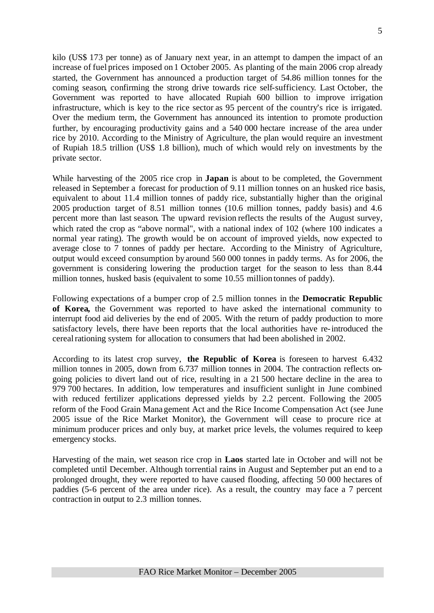kilo (US\$ 173 per tonne) as of January next year, in an attempt to dampen the impact of an increase of fuel prices imposed on 1 October 2005. As planting of the main 2006 crop already started, the Government has announced a production target of 54.86 million tonnes for the coming season, confirming the strong drive towards rice self-sufficiency. Last October, the Government was reported to have allocated Rupiah 600 billion to improve irrigation infrastructure, which is key to the rice sector as 95 percent of the country's rice is irrigated. Over the medium term, the Government has announced its intention to promote production further, by encouraging productivity gains and a 540 000 hectare increase of the area under rice by 2010. According to the Ministry of Agriculture, the plan would require an investment of Rupiah 18.5 trillion (US\$ 1.8 billion), much of which would rely on investments by the private sector.

While harvesting of the 2005 rice crop in **Japan** is about to be completed, the Government released in September a forecast for production of 9.11 million tonnes on an husked rice basis, equivalent to about 11.4 million tonnes of paddy rice, substantially higher than the original 2005 production target of 8.51 million tonnes (10.6 million tonnes, paddy basis) and 4.6 percent more than last season. The upward revision reflects the results of the August survey, which rated the crop as "above normal", with a national index of 102 (where 100 indicates a normal year rating). The growth would be on account of improved yields, now expected to average close to 7 tonnes of paddy per hectare. According to the Ministry of Agriculture, output would exceed consumption by around 560 000 tonnes in paddy terms. As for 2006, the government is considering lowering the production target for the season to less than 8.44 million tonnes, husked basis (equivalent to some 10.55 million tonnes of paddy).

Following expectations of a bumper crop of 2.5 million tonnes in the **Democratic Republic of Korea,** the Government was reported to have asked the international community to interrupt food aid deliveries by the end of 2005. With the return of paddy production to more satisfactory levels, there have been reports that the local authorities have re-introduced the cereal rationing system for allocation to consumers that had been abolished in 2002.

According to its latest crop survey, **the Republic of Korea** is foreseen to harvest 6.432 million tonnes in 2005, down from 6.737 million tonnes in 2004. The contraction reflects ongoing policies to divert land out of rice, resulting in a 21 500 hectare decline in the area to 979 700 hectares. In addition, low temperatures and insufficient sunlight in June combined with reduced fertilizer applications depressed yields by 2.2 percent. Following the 2005 reform of the Food Grain Management Act and the Rice Income Compensation Act (see June 2005 issue of the Rice Market Monitor), the Government will cease to procure rice at minimum producer prices and only buy, at market price levels, the volumes required to keep emergency stocks.

Harvesting of the main, wet season rice crop in **Laos** started late in October and will not be completed until December. Although torrential rains in August and September put an end to a prolonged drought, they were reported to have caused flooding, affecting 50 000 hectares of paddies (5-6 percent of the area under rice). As a result, the country may face a 7 percent contraction in output to 2.3 million tonnes.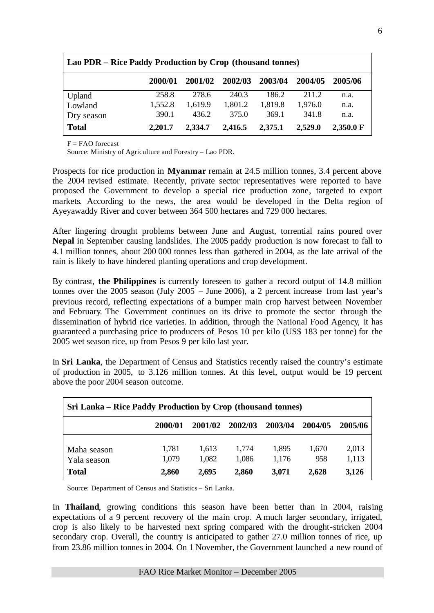| Lao PDR – Rice Paddy Production by Crop (thousand tonnes) |         |         |         |         |         |           |  |  |  |  |
|-----------------------------------------------------------|---------|---------|---------|---------|---------|-----------|--|--|--|--|
|                                                           | 2000/01 | 2001/02 | 2002/03 | 2003/04 | 2004/05 | 2005/06   |  |  |  |  |
| Upland                                                    | 258.8   | 278.6   | 240.3   | 186.2   | 211.2   | n.a.      |  |  |  |  |
| Lowland                                                   | 1,552.8 | 1,619.9 | 1,801.2 | 1,819.8 | 1,976.0 | n.a.      |  |  |  |  |
| Dry season                                                | 390.1   | 436.2   | 375.0   | 369.1   | 341.8   | n.a.      |  |  |  |  |
| <b>Total</b>                                              | 2,201.7 | 2,334.7 | 2,416.5 | 2,375.1 | 2,529.0 | 2,350.0 F |  |  |  |  |

 $F = FAO$  forecast

Source: Ministry of Agriculture and Forestry – Lao PDR.

Prospects for rice production in **Myanmar** remain at 24.5 million tonnes, 3.4 percent above the 2004 revised estimate. Recently, private sector representatives were reported to have proposed the Government to develop a special rice production zone, targeted to export markets. According to the news, the area would be developed in the Delta region of Ayeyawaddy River and cover between 364 500 hectares and 729 000 hectares.

After lingering drought problems between June and August, torrential rains poured over **Nepal** in September causing landslides. The 2005 paddy production is now forecast to fall to 4.1 million tonnes, about 200 000 tonnes less than gathered in 2004, as the late arrival of the rain is likely to have hindered planting operations and crop development.

By contrast, **the Philippines** is currently foreseen to gather a record output of 14.8 million tonnes over the 2005 season (July 2005 – June 2006), a 2 percent increase from last year's previous record, reflecting expectations of a bumper main crop harvest between November and February. The Government continues on its drive to promote the sector through the dissemination of hybrid rice varieties. In addition, through the National Food Agency, it has guaranteed a purchasing price to producers of Pesos 10 per kilo (US\$ 183 per tonne) for the 2005 wet season rice, up from Pesos 9 per kilo last year.

In **Sri Lanka**, the Department of Census and Statistics recently raised the country's estimate of production in 2005, to 3.126 million tonnes. At this level, output would be 19 percent above the poor 2004 season outcome.

| Sri Lanka – Rice Paddy Production by Crop (thousand tonnes) |                |                |                |                |              |                |  |  |  |  |
|-------------------------------------------------------------|----------------|----------------|----------------|----------------|--------------|----------------|--|--|--|--|
|                                                             | 2000/01        | 2001/02        | 2002/03        | 2003/04        | 2004/05      | 2005/06        |  |  |  |  |
| Maha season<br>Yala season                                  | 1,781<br>1,079 | 1.613<br>1,082 | 1,774<br>1,086 | 1,895<br>1,176 | 1,670<br>958 | 2,013<br>1,113 |  |  |  |  |
| <b>Total</b>                                                | 2,860          | 2,695          | 2,860          | 3,071          | 2,628        | 3,126          |  |  |  |  |

Source: Department of Census and Statistics – Sri Lanka.

In **Thailand**, growing conditions this season have been better than in 2004, raising expectations of a 9 percent recovery of the main crop. A much larger secondary, irrigated, crop is also likely to be harvested next spring compared with the drought-stricken 2004 secondary crop. Overall, the country is anticipated to gather 27.0 million tonnes of rice, up from 23.86 million tonnes in 2004. On 1 November, the Government launched a new round of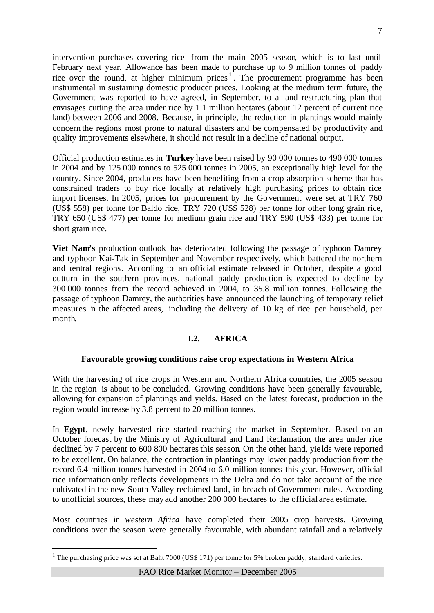intervention purchases covering rice from the main 2005 season, which is to last until February next year. Allowance has been made to purchase up to 9 million tonnes of paddy rice over the round, at higher minimum prices<sup>1</sup>. The procurement programme has been instrumental in sustaining domestic producer prices. Looking at the medium term future, the Government was reported to have agreed, in September, to a land restructuring plan that envisages cutting the area under rice by 1.1 million hectares (about 12 percent of current rice land) between 2006 and 2008. Because, in principle, the reduction in plantings would mainly concern the regions most prone to natural disasters and be compensated by productivity and quality improvements elsewhere, it should not result in a decline of national output.

Official production estimates in **Turkey** have been raised by 90 000 tonnes to 490 000 tonnes in 2004 and by 125 000 tonnes to 525 000 tonnes in 2005, an exceptionally high level for the country. Since 2004, producers have been benefiting from a crop absorption scheme that has constrained traders to buy rice locally at relatively high purchasing prices to obtain rice import licenses. In 2005, prices for procurement by the Government were set at TRY 760 (US\$ 558) per tonne for Baldo rice, TRY 720 (US\$ 528) per tonne for other long grain rice, TRY 650 (US\$ 477) per tonne for medium grain rice and TRY 590 (US\$ 433) per tonne for short grain rice.

**Viet Nam's** production outlook has deteriorated following the passage of typhoon Damrey and typhoon Kai-Tak in September and November respectively, which battered the northern and central regions. According to an official estimate released in October, despite a good outturn in the southern provinces, national paddy production is expected to decline by 300 000 tonnes from the record achieved in 2004, to 35.8 million tonnes. Following the passage of typhoon Damrey, the authorities have announced the launching of temporary relief measures in the affected areas, including the delivery of 10 kg of rice per household, per month.

# **I.2. AFRICA**

# **Favourable growing conditions raise crop expectations in Western Africa**

With the harvesting of rice crops in Western and Northern Africa countries, the 2005 season in the region is about to be concluded. Growing conditions have been generally favourable, allowing for expansion of plantings and yields. Based on the latest forecast, production in the region would increase by 3.8 percent to 20 million tonnes.

In **Egypt**, newly harvested rice started reaching the market in September. Based on an October forecast by the Ministry of Agricultural and Land Reclamation, the area under rice declined by 7 percent to 600 800 hectares this season. On the other hand, yie lds were reported to be excellent. On balance, the contraction in plantings may lower paddy production from the record 6.4 million tonnes harvested in 2004 to 6.0 million tonnes this year. However, official rice information only reflects developments in the Delta and do not take account of the rice cultivated in the new South Valley reclaimed land, in breach of Government rules. According to unofficial sources, these may add another 200 000 hectares to the official area estimate.

Most countries in *western Africa* have completed their 2005 crop harvests. Growing conditions over the season were generally favourable, with abundant rainfall and a relatively

l

<sup>&</sup>lt;sup>1</sup> The purchasing price was set at Baht 7000 (US\$ 171) per tonne for 5% broken paddy, standard varieties.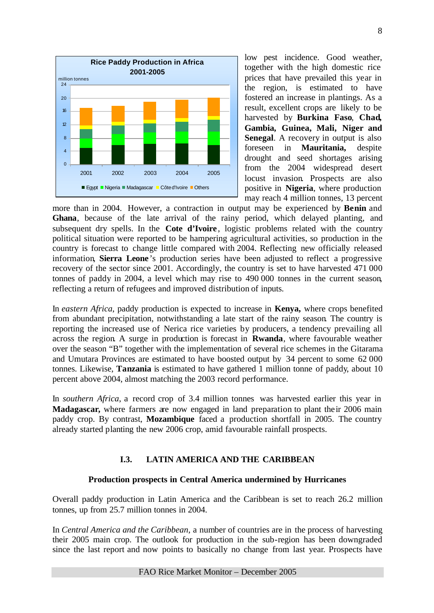

low pest incidence. Good weather, together with the high domestic rice prices that have prevailed this year in the region, is estimated to have fostered an increase in plantings. As a result, excellent crops are likely to be harvested by **Burkina Faso**, **Chad, Gambia, Guinea, Mali, Niger and Senegal**. A recovery in output is also foreseen in **Mauritania,** despite drought and seed shortages arising from the 2004 widespread desert locust invasion. Prospects are also positive in **Nigeria**, where production may reach 4 million tonnes, 13 percent

more than in 2004. However, a contraction in output may be experienced by **Benin** and **Ghana**, because of the late arrival of the rainy period, which delayed planting, and subsequent dry spells. In the **Cote d'Ivoire**, logistic problems related with the country political situation were reported to be hampering agricultural activities, so production in the country is forecast to change little compared with 2004. Reflecting new officially released information, **Sierra Leone** 's production series have been adjusted to reflect a progressive recovery of the sector since 2001. Accordingly, the country is set to have harvested 471 000 tonnes of paddy in 2004, a level which may rise to 490 000 tonnes in the current season, reflecting a return of refugees and improved distribution of inputs.

In *eastern Africa*, paddy production is expected to increase in **Kenya,** where crops benefited from abundant precipitation, notwithstanding a late start of the rainy season. The country is reporting the increased use of Nerica rice varieties by producers, a tendency prevailing all across the region. A surge in production is forecast in **Rwanda**, where favourable weather over the season "B" together with the implementation of several rice schemes in the Gitarama and Umutara Provinces are estimated to have boosted output by 34 percent to some 62 000 tonnes. Likewise, **Tanzania** is estimated to have gathered 1 million tonne of paddy, about 10 percent above 2004, almost matching the 2003 record performance.

In *southern Africa*, a record crop of 3.4 million tonnes was harvested earlier this year in **Madagascar,** where farmers are now engaged in land preparation to plant their 2006 main paddy crop. By contrast, **Mozambique** faced a production shortfall in 2005. The country already started planting the new 2006 crop, amid favourable rainfall prospects.

# **I.3. LATIN AMERICA AND THE CARIBBEAN**

# **Production prospects in Central America undermined by Hurricanes**

Overall paddy production in Latin America and the Caribbean is set to reach 26.2 million tonnes, up from 25.7 million tonnes in 2004.

In *Central America and the Caribbean*, a number of countries are in the process of harvesting their 2005 main crop. The outlook for production in the sub-region has been downgraded since the last report and now points to basically no change from last year. Prospects have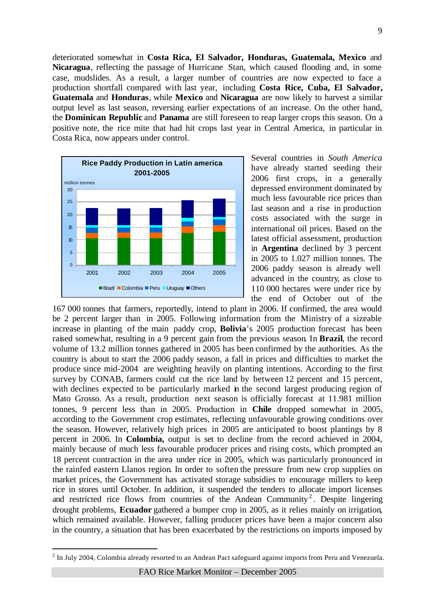deteriorated somewhat in **Costa Rica, El Salvador, Honduras, Guatemala, Mexico** and **Nicaragua**, reflecting the passage of Hurricane Stan, which caused flooding and, in some case, mudslides. As a result, a larger number of countries are now expected to face a production shortfall compared with last year, including **Costa Rice, Cuba, El Salvador, Guatemala** and **Honduras**, while **Mexico** and **Nicaragua** are now likely to harvest a similar output level as last season, reversing earlier expectations of an increase. On the other hand, the **Dominican Republic** and **Panama** are still foreseen to reap larger crops this season. On a positive note, the rice mite that had hit crops last year in Central America, in particular in Costa Rica, now appears under control.



l

Several countries in *South America* have already started seeding their 2006 first crops, in a generally depressed environment dominated by much less favourable rice prices than last season and a rise in production costs associated with the surge in international oil prices. Based on the latest official assessment, production in **Argentina** declined by 3 percent in 2005 to 1.027 million tonnes. The 2006 paddy season is already well advanced in the country, as close to 110 000 hectares were under rice by the end of October out of the

167 000 tonnes that farmers, reportedly, intend to plant in 2006. If confirmed, the area would be 2 percent larger than in 2005. Following information from the Ministry of a sizeable increase in planting of the main paddy crop, **Bolivia**'s 2005 production forecast has been raised somewhat, resulting in a 9 percent gain from the previous season. In **Brazil**, the record volume of 13.2 million tonnes gathered in 2005 has been confirmed by the authorities. As the country is about to start the 2006 paddy season, a fall in prices and difficulties to market the produce since mid-2004 are weighting heavily on planting intentions. According to the first survey by CONAB, farmers could cut the rice land by between 12 percent and 15 percent, with declines expected to be particularly marked in the second largest producing region of Mato Grosso. As a result, production next season is officially forecast at 11.981 million tonnes, 9 percent less than in 2005. Production in **Chile** dropped somewhat in 2005, according to the Government crop estimates, reflecting unfavourable growing conditions over the season. However, relatively high prices in 2005 are anticipated to boost plantings by 8 percent in 2006. In **Colombia,** output is set to decline from the record achieved in 2004, mainly because of much less favourable producer prices and rising costs, which prompted an 18 percent contraction in the area under rice in 2005, which was particularly pronounced in the rainfed eastern Llanos region. In order to soften the pressure from new crop supplies on market prices, the Government has activated storage subsidies to encourage millers to keep rice in stores until October. In addition, it suspended the tenders to allocate import licenses and restricted rice flows from countries of the Andean Community<sup>2</sup>. Despite lingering drought problems, **Ecuador** gathered a bumper crop in 2005, as it relies mainly on irrigation, which remained available. However, falling producer prices have been a major concern also in the country, a situation that has been exacerbated by the restrictions on imports imposed by

 $2$  In July 2004, Colombia already resorted to an Andean Pact safeguard against imports from Peru and Venezuela.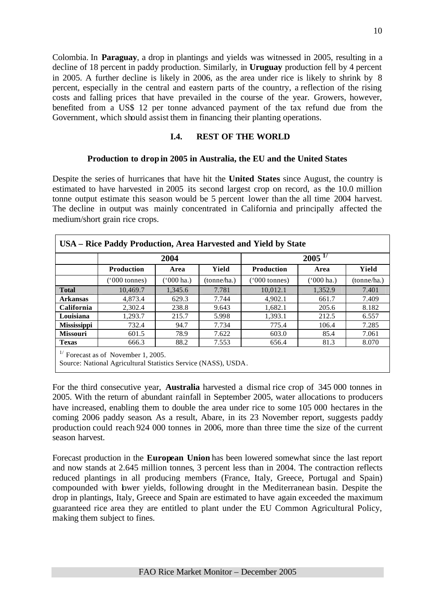Colombia. In **Paraguay**, a drop in plantings and yields was witnessed in 2005, resulting in a decline of 18 percent in paddy production. Similarly, in **Uruguay** production fell by 4 percent in 2005. A further decline is likely in 2006, as the area under rice is likely to shrink by 8 percent, especially in the central and eastern parts of the country, a reflection of the rising costs and falling prices that have prevailed in the course of the year. Growers, however, benefited from a US\$ 12 per tonne advanced payment of the tax refund due from the Government, which should assist them in financing their planting operations.

# **I.4. REST OF THE WORLD**

### **Production to drop in 2005 in Australia, the EU and the United States**

Despite the series of hurricanes that have hit the **United States** since August, the country is estimated to have harvested in 2005 its second largest crop on record, as the 10.0 million tonne output estimate this season would be 5 percent lower than the all time 2004 harvest. The decline in output was mainly concentrated in California and principally affected the medium/short grain rice crops.

|                    |                        | 2004                |             |                   | $2005^{17}$ |             |
|--------------------|------------------------|---------------------|-------------|-------------------|-------------|-------------|
|                    | <b>Production</b>      | Area                | Yield       | <b>Production</b> | Area        | Yield       |
|                    | $(000 \text{ tonnes})$ | $(000 \text{ ha.})$ | (tonne/ha.) | ('000 tonnes)     | ('000 ha.)  | (tonne/ha.) |
| <b>Total</b>       | 10,469.7               | 1,345.6             | 7.781       | 10,012.1          | 1,352.9     | 7.401       |
| <b>Arkansas</b>    | 4,873.4                | 629.3               | 7.744       | 4,902.1           | 661.7       | 7.409       |
| <b>California</b>  | 2.302.4                | 238.8               | 9.643       | 1.682.1           | 205.6       | 8.182       |
| Louisiana          | 1,293.7                | 215.7               | 5.998       | 1,393.1           | 212.5       | 6.557       |
| <b>Mississippi</b> | 732.4                  | 94.7                | 7.734       | 775.4             | 106.4       | 7.285       |
| <b>Missouri</b>    | 601.5                  | 78.9                | 7.622       | 603.0             | 85.4        | 7.061       |
| <b>Texas</b>       | 666.3                  | 88.2                | 7.553       | 656.4             | 81.3        | 8.070       |

For the third consecutive year, **Australia** harvested a dismal rice crop of 345 000 tonnes in 2005. With the return of abundant rainfall in September 2005, water allocations to producers have increased, enabling them to double the area under rice to some 105 000 hectares in the coming 2006 paddy season. As a result, Abare, in its 23 November report, suggests paddy production could reach 924 000 tonnes in 2006, more than three time the size of the current season harvest.

Forecast production in the **European Union** has been lowered somewhat since the last report and now stands at 2.645 million tonnes, 3 percent less than in 2004. The contraction reflects reduced plantings in all producing members (France, Italy, Greece, Portugal and Spain) compounded with lower yields, following drought in the Mediterranean basin. Despite the drop in plantings, Italy, Greece and Spain are estimated to have again exceeded the maximum guaranteed rice area they are entitled to plant under the EU Common Agricultural Policy, making them subject to fines.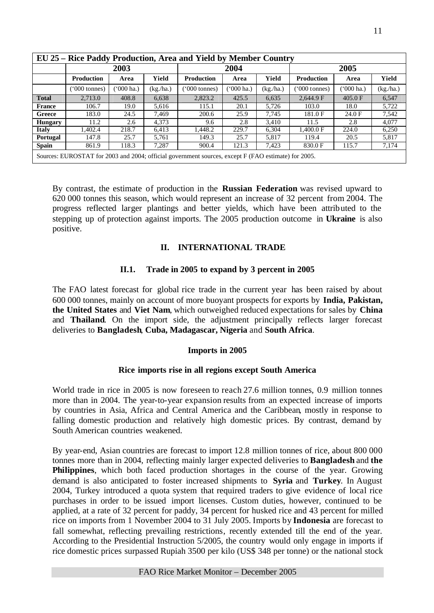|                | EU 25 – Rice Paddy Production, Area and Yield by Member Country |            |           |                                                                                                     |           |           |                        |               |          |  |  |  |
|----------------|-----------------------------------------------------------------|------------|-----------|-----------------------------------------------------------------------------------------------------|-----------|-----------|------------------------|---------------|----------|--|--|--|
|                |                                                                 | 2003       |           |                                                                                                     | 2004      |           |                        | 2005          |          |  |  |  |
|                | Production                                                      | Area       | Yield     | <b>Production</b>                                                                                   | Area      | Yield     | <b>Production</b>      | Area          | Yield    |  |  |  |
|                | $(000 \text{ tonnes})$                                          | ('000 ha.) | (kg./ha.) | '000 tonnes)                                                                                        | '000 ha.) | (kg./ha.) | $(000 \text{ tonnes})$ | $(5000)$ ha.) | (kg/ha.) |  |  |  |
| <b>Total</b>   | 2.713.0                                                         | 408.8      | 6,638     | 2,823.2                                                                                             | 425.5     | 6,635     | 2,644.9 F              | 405.0 F       | 6,547    |  |  |  |
| <b>France</b>  | 106.7                                                           | 19.0       | 5,616     | 115.1                                                                                               | 20.1      | 5,726     | 103.0                  | 18.0          | 5.722    |  |  |  |
| Greece         | 183.0                                                           | 24.5       | 7.469     | 200.6                                                                                               | 25.9      | 7.745     | 181.0F                 | 24.0 F        | 7,542    |  |  |  |
| <b>Hungary</b> | 11.2                                                            | 2.6        | 4.373     | 9.6                                                                                                 | 2.8       | 3.410     | 11.5                   | 2.8           | 4.077    |  |  |  |
| <b>Italy</b>   | 1.402.4                                                         | 218.7      | 6.413     | 1.448.2                                                                                             | 229.7     | 6,304     | 1.400.0 F              | 224.0         | 6.250    |  |  |  |
| Portugal       | 147.8                                                           | 25.7       | 5.761     | 149.3                                                                                               | 25.7      | 5.817     | 119.4                  | 20.5          | 5.817    |  |  |  |
| <b>Spain</b>   | 861.9                                                           | 118.3      | 7.287     | 900.4                                                                                               | 121.3     | 7.423     | 830.0 F                | 115.7         | 7,174    |  |  |  |
|                |                                                                 |            |           | Sources: EUROSTAT for 2003 and 2004; official government sources, except F (FAO estimate) for 2005. |           |           |                        |               |          |  |  |  |

By contrast, the estimate of production in the **Russian Federation** was revised upward to 620 000 tonnes this season, which would represent an increase of 32 percent from 2004. The progress reflected larger plantings and better yields, which have been attributed to the stepping up of protection against imports. The 2005 production outcome in **Ukraine** is also positive.

# **II. INTERNATIONAL TRADE**

# **II.1. Trade in 2005 to expand by 3 percent in 2005**

The FAO latest forecast for global rice trade in the current year has been raised by about 600 000 tonnes, mainly on account of more buoyant prospects for exports by **India, Pakistan, the United States** and **Viet Nam**, which outweighed reduced expectations for sales by **China**  and **Thailand**. On the import side, the adjustment principally reflects larger forecast deliveries to **Bangladesh**, **Cuba, Madagascar, Nigeria** and **South Africa**.

# **Imports in 2005**

# **Rice imports rise in all regions except South America**

World trade in rice in 2005 is now foreseen to reach 27.6 million tonnes, 0.9 million tonnes more than in 2004. The year-to-year expansion results from an expected increase of imports by countries in Asia, Africa and Central America and the Caribbean, mostly in response to falling domestic production and relatively high domestic prices. By contrast, demand by South American countries weakened.

By year-end, Asian countries are forecast to import 12.8 million tonnes of rice, about 800 000 tonnes more than in 2004, reflecting mainly larger expected deliveries to **Bangladesh** and **the Philippines**, which both faced production shortages in the course of the year. Growing demand is also anticipated to foster increased shipments to **Syria** and **Turkey**. In August 2004, Turkey introduced a quota system that required traders to give evidence of local rice purchases in order to be issued import licenses. Custom duties, however, continued to be applied, at a rate of 32 percent for paddy, 34 percent for husked rice and 43 percent for milled rice on imports from 1 November 2004 to 31 July 2005. Imports by **Indonesia** are forecast to fall somewhat, reflecting prevailing restrictions, recently extended till the end of the year. According to the Presidential Instruction 5/2005, the country would only engage in imports if rice domestic prices surpassed Rupiah 3500 per kilo (US\$ 348 per tonne) or the national stock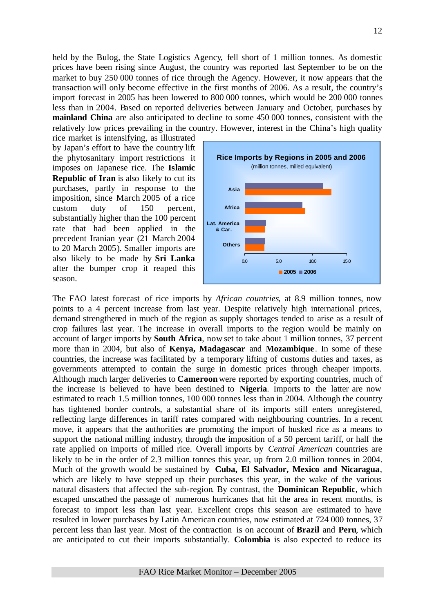held by the Bulog, the State Logistics Agency, fell short of 1 million tonnes. As domestic prices have been rising since August, the country was reported last September to be on the market to buy 250 000 tonnes of rice through the Agency. However, it now appears that the transaction will only become effective in the first months of 2006. As a result, the country's import forecast in 2005 has been lowered to 800 000 tonnes, which would be 200 000 tonnes less than in 2004. Based on reported deliveries between January and October, purchases by **mainland China** are also anticipated to decline to some 450 000 tonnes, consistent with the relatively low prices prevailing in the country. However, interest in the China's high quality

rice market is intensifying, as illustrated by Japan's effort to have the country lift the phytosanitary import restrictions it imposes on Japanese rice. The **Islamic Republic of Iran** is also likely to cut its purchases, partly in response to the imposition, since March 2005 of a rice custom duty of 150 percent, substantially higher than the 100 percent rate that had been applied in the precedent Iranian year (21 March 2004 to 20 March 2005). Smaller imports are also likely to be made by **Sri Lanka** after the bumper crop it reaped this season.



The FAO latest forecast of rice imports by *African countries*, at 8.9 million tonnes, now points to a 4 percent increase from last year. Despite relatively high international prices, demand strengthened in much of the region as supply shortages tended to arise as a result of crop failures last year. The increase in overall imports to the region would be mainly on account of larger imports by **South Africa**, now set to take about 1 million tonnes, 37 percent more than in 2004, but also of **Kenya, Madagascar** and **Mozambique** . In some of these countries, the increase was facilitated by a temporary lifting of customs duties and taxes, as governments attempted to contain the surge in domestic prices through cheaper imports. Although much larger deliveries to **Cameroon**were reported by exporting countries, much of the increase is believed to have been destined to **Nigeria**. Imports to the latter are now estimated to reach 1.5 million tonnes, 100 000 tonnes less than in 2004. Although the country has tightened border controls, a substantial share of its imports still enters unregistered, reflecting large differences in tariff rates compared with neighbouring countries. In a recent move, it appears that the authorities are promoting the import of husked rice as a means to support the national milling industry, through the imposition of a 50 percent tariff, or half the rate applied on imports of milled rice. Overall imports by *Central American* countries are likely to be in the order of 2.3 million tonnes this year, up from 2.0 million tonnes in 2004. Much of the growth would be sustained by **Cuba, El Salvador, Mexico and Nicaragua**, which are likely to have stepped up their purchases this year, in the wake of the various natural disasters that affected the sub-region. By contrast, the **Dominican Republic**, which escaped unscathed the passage of numerous hurricanes that hit the area in recent months, is forecast to import less than last year. Excellent crops this season are estimated to have resulted in lower purchases by Latin American countries, now estimated at 724 000 tonnes, 37 percent less than last year. Most of the contraction is on account of **Brazil** and **Peru**, which are anticipated to cut their imports substantially. **Colombia** is also expected to reduce its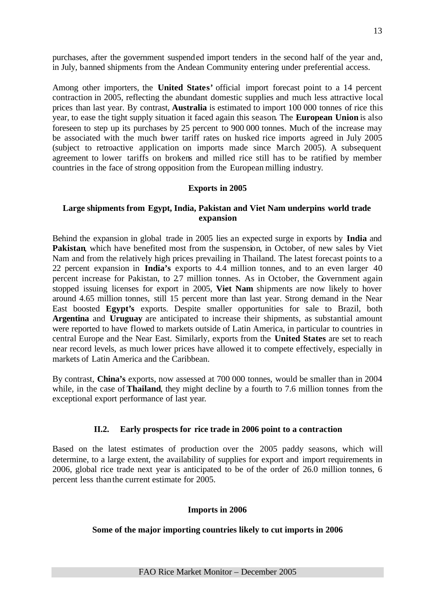purchases, after the government suspended import tenders in the second half of the year and, in July, banned shipments from the Andean Community entering under preferential access.

Among other importers, the **United States'** official import forecast point to a 14 percent contraction in 2005, reflecting the abundant domestic supplies and much less attractive local prices than last year. By contrast, **Australia** is estimated to import 100 000 tonnes of rice this year, to ease the tight supply situation it faced again this season. The **European Union** is also foreseen to step up its purchases by 25 percent to 900 000 tonnes. Much of the increase may be associated with the much bwer tariff rates on husked rice imports agreed in July 2005 (subject to retroactive application on imports made since March 2005). A subsequent agreement to lower tariffs on brokens and milled rice still has to be ratified by member countries in the face of strong opposition from the European milling industry.

#### **Exports in 2005**

#### **Large shipments from Egypt, India, Pakistan and Viet Nam underpins world trade expansion**

Behind the expansion in global trade in 2005 lies an expected surge in exports by **India** and **Pakistan**, which have benefited most from the suspension, in October, of new sales by Viet Nam and from the relatively high prices prevailing in Thailand. The latest forecast points to a 22 percent expansion in **India's** exports to 4.4 million tonnes, and to an even larger 40 percent increase for Pakistan, to 2.7 million tonnes. As in October, the Government again stopped issuing licenses for export in 2005, **Viet Nam** shipments are now likely to hover around 4.65 million tonnes, still 15 percent more than last year. Strong demand in the Near East boosted **Egypt's** exports. Despite smaller opportunities for sale to Brazil, both **Argentina** and **Uruguay** are anticipated to increase their shipments, as substantial amount were reported to have flowed to markets outside of Latin America, in particular to countries in central Europe and the Near East. Similarly, exports from the **United States** are set to reach near record levels, as much lower prices have allowed it to compete effectively, especially in markets of Latin America and the Caribbean.

By contrast, **China's** exports, now assessed at 700 000 tonnes, would be smaller than in 2004 while, in the case of **Thailand**, they might decline by a fourth to 7.6 million tonnes from the exceptional export performance of last year.

### **II.2. Early prospects for rice trade in 2006 point to a contraction**

Based on the latest estimates of production over the 2005 paddy seasons, which will determine, to a large extent, the availability of supplies for export and import requirements in 2006, global rice trade next year is anticipated to be of the order of 26.0 million tonnes, 6 percent less than the current estimate for 2005.

#### **Imports in 2006**

### **Some of the major importing countries likely to cut imports in 2006**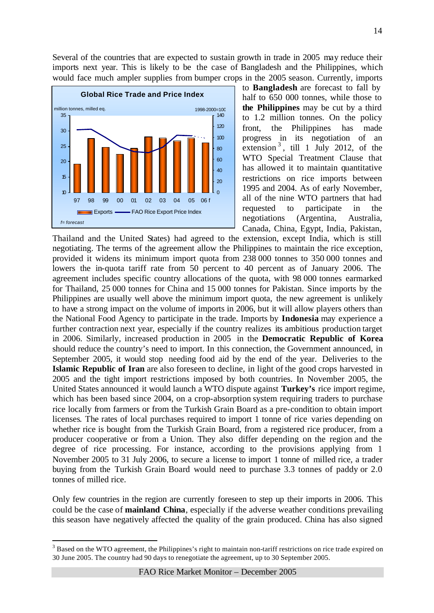Several of the countries that are expected to sustain growth in trade in 2005 may reduce their imports next year. This is likely to be the case of Bangladesh and the Philippines, which would face much ampler supplies from bumper crops in the 2005 season. Currently, imports



l

to **Bangladesh** are forecast to fall by half to 650 000 tonnes, while those to **the Philippines** may be cut by a third to 1.2 million tonnes. On the policy front, the Philippines has made progress in its negotiation of an extension  $3$ , till 1 July 2012, of the WTO Special Treatment Clause that has allowed it to maintain quantitative restrictions on rice imports between 1995 and 2004. As of early November, all of the nine WTO partners that had requested to participate in the negotiations (Argentina, Australia, Canada, China, Egypt, India, Pakistan,

Thailand and the United States) had agreed to the extension, except India, which is still negotiating. The terms of the agreement allow the Philippines to maintain the rice exception, provided it widens its minimum import quota from 238 000 tonnes to 350 000 tonnes and lowers the in-quota tariff rate from 50 percent to 40 percent as of January 2006. The agreement includes specific country allocations of the quota, with 98 000 tonnes earmarked for Thailand, 25 000 tonnes for China and 15 000 tonnes for Pakistan. Since imports by the Philippines are usually well above the minimum import quota, the new agreement is unlikely to have a strong impact on the volume of imports in 2006, but it will allow players others than the National Food Agency to participate in the trade. Imports by **Indonesia** may experience a further contraction next year, especially if the country realizes its ambitious production target in 2006. Similarly, increased production in 2005 in the **Democratic Republic of Korea** should reduce the country's need to import. In this connection, the Government announced, in September 2005, it would stop needing food aid by the end of the year. Deliveries to the **Islamic Republic of Iran** are also foreseen to decline, in light of the good crops harvested in 2005 and the tight import restrictions imposed by both countries. In November 2005, the United States announced it would launch a WTO dispute against **Turkey's** rice import regime, which has been based since 2004, on a crop-absorption system requiring traders to purchase rice locally from farmers or from the Turkish Grain Board as a pre-condition to obtain import licenses. The rates of local purchases required to import 1 tonne of rice varies depending on whether rice is bought from the Turkish Grain Board, from a registered rice producer, from a producer cooperative or from a Union. They also differ depending on the region and the degree of rice processing. For instance, according to the provisions applying from 1 November 2005 to 31 July 2006, to secure a license to import 1 tonne of milled rice, a trader buying from the Turkish Grain Board would need to purchase 3.3 tonnes of paddy or 2.0 tonnes of milled rice.

Only few countries in the region are currently foreseen to step up their imports in 2006. This could be the case of **mainland China**, especially if the adverse weather conditions prevailing this season have negatively affected the quality of the grain produced. China has also signed

<sup>&</sup>lt;sup>3</sup> Based on the WTO agreement, the Philippines's right to maintain non-tariff restrictions on rice trade expired on 30 June 2005. The country had 90 days to renegotiate the agreement, up to 30 September 2005.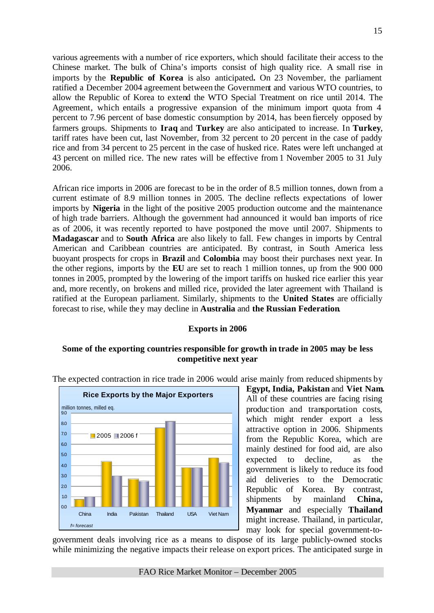various agreements with a number of rice exporters, which should facilitate their access to the Chinese market. The bulk of China's imports consist of high quality rice. A small rise in imports by the **Republic of Korea** is also anticipated**.** On 23 November, the parliament ratified a December 2004 agreement between the Government and various WTO countries, to allow the Republic of Korea to extend the WTO Special Treatment on rice until 2014. The Agreement, which entails a progressive expansion of the minimum import quota from 4 percent to 7.96 percent of base domestic consumption by 2014, has been fiercely opposed by farmers groups. Shipments to **Iraq** and **Turkey** are also anticipated to increase. In **Turkey**, tariff rates have been cut, last November, from 32 percent to 20 percent in the case of paddy rice and from 34 percent to 25 percent in the case of husked rice. Rates were left unchanged at 43 percent on milled rice. The new rates will be effective from 1 November 2005 to 31 July 2006.

African rice imports in 2006 are forecast to be in the order of 8.5 million tonnes, down from a current estimate of 8.9 million tonnes in 2005. The decline reflects expectations of lower imports by **Nigeria** in the light of the positive 2005 production outcome and the maintenance of high trade barriers. Although the government had announced it would ban imports of rice as of 2006, it was recently reported to have postponed the move until 2007. Shipments to **Madagascar** and to **South Africa** are also likely to fall. Few changes in imports by Central American and Caribbean countries are anticipated. By contrast, in South America less buoyant prospects for crops in **Brazil** and **Colombia** may boost their purchases next year. In the other regions, imports by the **EU** are set to reach 1 million tonnes, up from the 900 000 tonnes in 2005, prompted by the lowering of the import tariffs on husked rice earlier this year and, more recently, on brokens and milled rice, provided the later agreement with Thailand is ratified at the European parliament. Similarly, shipments to the **United States** are officially forecast to rise, while they may decline in **Australia** and **the Russian Federation**.

# **Exports in 2006**

# **Some of the exporting countries responsible for growth in trade in 2005 may be less competitive next year**



The expected contraction in rice trade in 2006 would arise mainly from reduced shipments by

**Egypt, India, Pakistan** and **Viet Nam.**  All of these countries are facing rising production and transportation costs, which might render export a less attractive option in 2006. Shipments from the Republic Korea, which are mainly destined for food aid, are also expected to decline, as the government is likely to reduce its food aid deliveries to the Democratic Republic of Korea. By contrast, shipments by mainland **China, Myanmar** and especially **Thailand** might increase. Thailand, in particular, may look for special government-to-

government deals involving rice as a means to dispose of its large publicly-owned stocks while minimizing the negative impacts their release on export prices. The anticipated surge in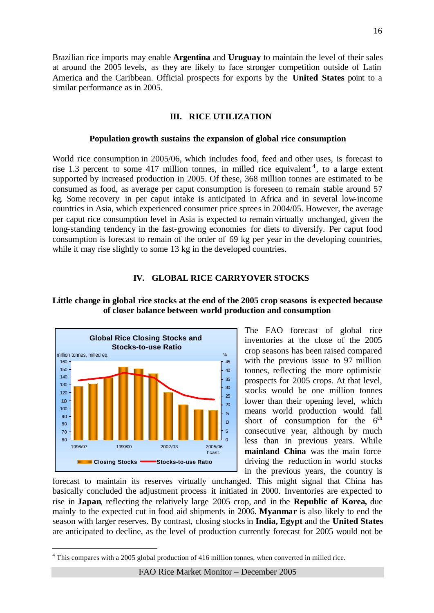Brazilian rice imports may enable **Argentina** and **Uruguay** to maintain the level of their sales at around the 2005 levels, as they are likely to face stronger competition outside of Latin America and the Caribbean. Official prospects for exports by the **United States** point to a similar performance as in 2005.

### **III. RICE UTILIZATION**

#### **Population growth sustains the expansion of global rice consumption**

World rice consumption in 2005/06, which includes food, feed and other uses, is forecast to rise 1.3 percent to some 417 million tonnes, in milled rice equivalent<sup>4</sup>, to a large extent supported by increased production in 2005. Of these, 368 million tonnes are estimated to be consumed as food, as average per caput consumption is foreseen to remain stable around 57 kg. Some recovery in per caput intake is anticipated in Africa and in several low-income countries in Asia, which experienced consumer price sprees in 2004/05. However, the average per caput rice consumption level in Asia is expected to remain virtually unchanged, given the long-standing tendency in the fast-growing economies for diets to diversify. Per caput food consumption is forecast to remain of the order of 69 kg per year in the developing countries, while it may rise slightly to some 13 kg in the developed countries.

### **IV. GLOBAL RICE CARRYOVER STOCKS**



l

# **Little change in global rice stocks at the end of the 2005 crop seasons is expected because of closer balance between world production and consumption**

The FAO forecast of global rice inventories at the close of the 2005 crop seasons has been raised compared with the previous issue to 97 million tonnes, reflecting the more optimistic prospects for 2005 crops. At that level, stocks would be one million tonnes lower than their opening level, which means world production would fall short of consumption for the  $6<sup>th</sup>$ consecutive year, although by much less than in previous years. While **mainland China** was the main force driving the reduction in world stocks in the previous years, the country is

forecast to maintain its reserves virtually unchanged. This might signal that China has basically concluded the adjustment process it initiated in 2000. Inventories are expected to rise in **Japan**, reflecting the relatively large 2005 crop, and in the **Republic of Korea,** due mainly to the expected cut in food aid shipments in 2006. **Myanmar** is also likely to end the season with larger reserves. By contrast, closing stocks in **India, Egypt** and the **United States** are anticipated to decline, as the level of production currently forecast for 2005 would not be

 $4$  This compares with a 2005 global production of 416 million tonnes, when converted in milled rice.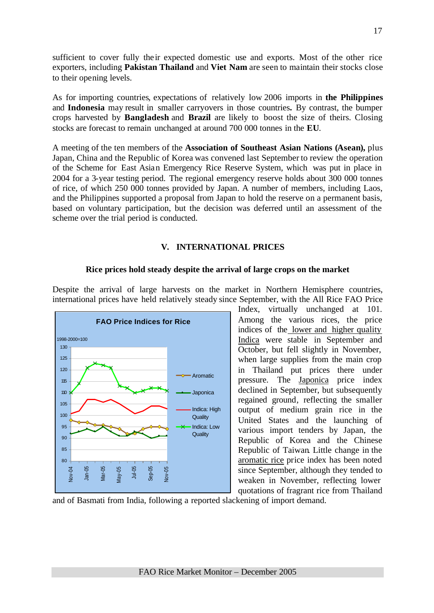sufficient to cover fully their expected domestic use and exports. Most of the other rice exporters, including **Pakistan Thailand** and **Viet Nam** are seen to maintain their stocks close to their opening levels.

As for importing countries, expectations of relatively low 2006 imports in **the Philippines** and **Indonesia** may result in smaller carryovers in those countries**.** By contrast, the bumper crops harvested by **Bangladesh** and **Brazil** are likely to boost the size of theirs. Closing stocks are forecast to remain unchanged at around 700 000 tonnes in the **EU**.

A meeting of the ten members of the **Association of Southeast Asian Nations (Asean),** plus Japan, China and the Republic of Korea was convened last September to review the operation of the Scheme for East Asian Emergency Rice Reserve System, which was put in place in 2004 for a 3-year testing period. The regional emergency reserve holds about 300 000 tonnes of rice, of which 250 000 tonnes provided by Japan. A number of members, including Laos, and the Philippines supported a proposal from Japan to hold the reserve on a permanent basis, based on voluntary participation, but the decision was deferred until an assessment of the scheme over the trial period is conducted.

# **V. INTERNATIONAL PRICES**

### **Rice prices hold steady despite the arrival of large crops on the market**

Despite the arrival of large harvests on the market in Northern Hemisphere countries, international prices have held relatively steady since September, with the All Rice FAO Price



Index, virtually unchanged at 101. Among the various rices, the price indices of the lower and higher quality Indica were stable in September and October, but fell slightly in November, when large supplies from the main crop in Thailand put prices there under pressure. The Japonica price index declined in September, but subsequently regained ground, reflecting the smaller output of medium grain rice in the United States and the launching of various import tenders by Japan, the Republic of Korea and the Chinese Republic of Taiwan. Little change in the aromatic rice price index has been noted since September, although they tended to weaken in November, reflecting lower quotations of fragrant rice from Thailand

and of Basmati from India, following a reported slackening of import demand.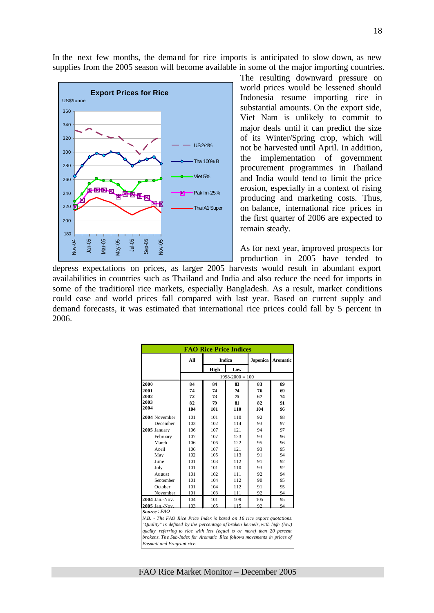In the next few months, the demand for rice imports is anticipated to slow down, as new supplies from the 2005 season will become available in some of the major importing countries.



The resulting downward pressure on world prices would be lessened should Indonesia resume importing rice in substantial amounts. On the export side, Viet Nam is unlikely to commit to major deals until it can predict the size of its Winter/Spring crop, which will not be harvested until April. In addition, the implementation of government procurement programmes in Thailand and India would tend to limit the price erosion, especially in a context of rising producing and marketing costs. Thus, on balance, international rice prices in the first quarter of 2006 are expected to remain steady.

As for next year, improved prospects for production in 2005 have tended to

depress expectations on prices, as larger 2005 harvests would result in abundant export availabilities in countries such as Thailand and India and also reduce the need for imports in some of the traditional rice markets, especially Bangladesh. As a result, market conditions could ease and world prices fall compared with last year. Based on current supply and demand forecasts, it was estimated that international rice prices could fall by 5 percent in 2006.

| <b>FAO Rice Price Indices</b>                                             |     |               |                     |     |                   |  |  |  |  |  |
|---------------------------------------------------------------------------|-----|---------------|---------------------|-----|-------------------|--|--|--|--|--|
|                                                                           | All | <b>Indica</b> |                     |     | Japonica Aromatic |  |  |  |  |  |
|                                                                           |     | High          | Low                 |     |                   |  |  |  |  |  |
|                                                                           |     |               | $1998 - 2000 = 100$ |     |                   |  |  |  |  |  |
| 2000                                                                      | 84  | 84            | 83                  | 83  | 89                |  |  |  |  |  |
| 2001                                                                      | 74  | 74            | 74                  | 76  | 69                |  |  |  |  |  |
| 2002                                                                      | 72  | 73            | 75                  | 67  | 74                |  |  |  |  |  |
| 2003                                                                      | 82  | 79            | 81                  | 82  | 91                |  |  |  |  |  |
| 2004                                                                      | 104 | 101           | 110                 | 104 | 96                |  |  |  |  |  |
| 2004 November                                                             | 101 | 101           | 110                 | 92  | 98                |  |  |  |  |  |
| December                                                                  | 103 | 102           | 114                 | 93  | 97                |  |  |  |  |  |
| 2005 January                                                              | 106 | 107           | 121                 | 94  | 97                |  |  |  |  |  |
| February                                                                  | 107 | 107           | 123                 | 93  | 96                |  |  |  |  |  |
| March                                                                     | 106 | 106           | 122                 | 95  | 96                |  |  |  |  |  |
| April                                                                     | 106 | 107           | 121                 | 93  | 95                |  |  |  |  |  |
| May                                                                       | 102 | 105           | 113                 | 91  | 94                |  |  |  |  |  |
| June                                                                      | 101 | 103           | 112                 | 91  | 92                |  |  |  |  |  |
| July                                                                      | 101 | 101           | 110                 | 93  | 92                |  |  |  |  |  |
| August                                                                    | 101 | 102           | 111                 | 92  | 94                |  |  |  |  |  |
| September                                                                 | 101 | 104           | 112                 | 90  | 95                |  |  |  |  |  |
| October                                                                   | 101 | 104           | 112                 | 91  | 95                |  |  |  |  |  |
| November                                                                  | 101 | 103           | 111                 | 92  | 94                |  |  |  |  |  |
| 2004 Jan.-Nov.                                                            | 104 | 101           | 109                 | 105 | 95                |  |  |  |  |  |
| 2005 Jan.-Nov.                                                            | 103 | 105           | 115                 | 92  | 94                |  |  |  |  |  |
| Source: FAO                                                               |     |               |                     |     |                   |  |  |  |  |  |
| N.B. - The FAO Rice Price Index is based on 16 rice export quotations.    |     |               |                     |     |                   |  |  |  |  |  |
| "Quality" is defined by the percentage of broken kernels, with high (low) |     |               |                     |     |                   |  |  |  |  |  |
| quality referring to rice with less (equal to or more) than 20 percent    |     |               |                     |     |                   |  |  |  |  |  |
| brokens. The Sub-Index for Aromatic Rice follows movements in prices of   |     |               |                     |     |                   |  |  |  |  |  |

18

FAO Rice Market Monitor – December 2005

*Basmati and Fragrant rice.*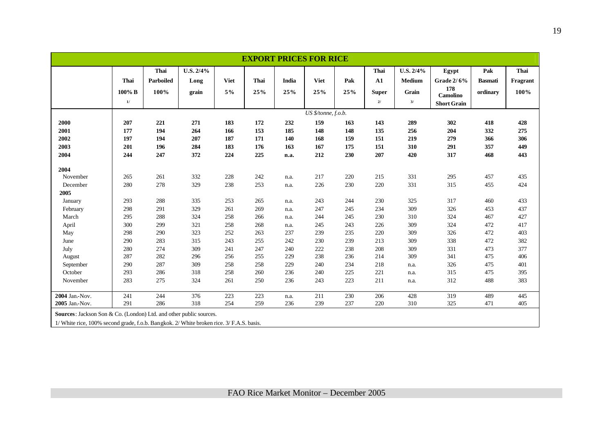|                                                                                          |           |             |           |             |      |       | <b>EXPORT PRICES FOR RICE</b> |     |              |               |                        |                |          |
|------------------------------------------------------------------------------------------|-----------|-------------|-----------|-------------|------|-------|-------------------------------|-----|--------------|---------------|------------------------|----------------|----------|
|                                                                                          |           | <b>Thai</b> | U.S. 2/4% |             |      |       |                               |     | Thai         | $U.S. 2/4\%$  | Egypt                  | Pak            | Thai     |
|                                                                                          | Thai      | Parboiled   | Long      | <b>Viet</b> | Thai | India | <b>Viet</b>                   | Pak | ${\bf A1}$   | <b>Medium</b> | Grade 2/6%             | <b>Basmati</b> | Fragrant |
|                                                                                          | $100\%$ B | 100%        | grain     | 5%          | 25%  | 25%   | 25%                           | 25% | <b>Super</b> | Grain         | 178<br><b>Camolino</b> | ordinary       | 100%     |
|                                                                                          | 1/        |             |           |             |      |       |                               |     | 21           | 3/            | <b>Short Grain</b>     |                |          |
|                                                                                          |           |             |           |             |      |       | US \$/tonne, f.o.b.           |     |              |               |                        |                |          |
| 2000                                                                                     | 207       | 221         | 271       | 183         | 172  | 232   | 159                           | 163 | 143          | 289           | 302                    | 418            | 428      |
| 2001                                                                                     | 177       | 194         | 264       | 166         | 153  | 185   | 148                           | 148 | 135          | 256           | 204                    | 332            | 275      |
| 2002                                                                                     | 197       | 194         | 207       | 187         | 171  | 140   | 168                           | 159 | 151          | 219           | 279                    | 366            | 306      |
| 2003                                                                                     | 201       | 196         | 284       | 183         | 176  | 163   | 167                           | 175 | 151          | 310           | 291                    | 357            | 449      |
| 2004                                                                                     | 244       | 247         | 372       | 224         | 225  | n.a.  | 212                           | 230 | 207          | 420           | 317                    | 468            | 443      |
|                                                                                          |           |             |           |             |      |       |                               |     |              |               |                        |                |          |
| 2004<br>November                                                                         | 265       | 261         | 332       | 228         | 242  |       | 217                           | 220 | 215          | 331           | 295                    | 457            | 435      |
| December                                                                                 | 280       | 278         | 329       | 238         | 253  | n.a.  | 226                           | 230 | 220          | 331           | 315                    | 455            | 424      |
| 2005                                                                                     |           |             |           |             |      | n.a.  |                               |     |              |               |                        |                |          |
| January                                                                                  | 293       | 288         | 335       | 253         | 265  | n.a.  | 243                           | 244 | 230          | 325           | 317                    | 460            | 433      |
| February                                                                                 | 298       | 291         | 329       | 261         | 269  | n.a.  | 247                           | 245 | 234          | 309           | 326                    | 453            | 437      |
| March                                                                                    | 295       | 288         | 324       | 258         | 266  | n.a.  | 244                           | 245 | 230          | 310           | 324                    | 467            | 427      |
| April                                                                                    | 300       | 299         | 321       | 258         | 268  | n.a.  | 245                           | 243 | 226          | 309           | 324                    | 472            | 417      |
| May                                                                                      | 298       | 290         | 323       | 252         | 263  | 237   | 239                           | 235 | 220          | 309           | 326                    | 472            | 403      |
| June                                                                                     | 290       | 283         | 315       | 243         | 255  | 242   | 230                           | 239 | 213          | 309           | 338                    | 472            | 382      |
| July                                                                                     | 280       | 274         | 309       | 241         | 247  | 240   | 222                           | 238 | 208          | 309           | 331                    | 473            | 377      |
| August                                                                                   | 287       | 282         | 296       | 256         | 255  | 229   | 238                           | 236 | 214          | 309           | 341                    | 475            | 406      |
| September                                                                                | 290       | 287         | 309       | 258         | 258  | 229   | 240                           | 234 | 218          | n.a.          | 326                    | 475            | 401      |
| October                                                                                  | 293       | 286         | 318       | 258         | 260  | 236   | 240                           | 225 | 221          | n.a.          | 315                    | 475            | 395      |
| November                                                                                 | 283       | 275         | 324       | 261         | 250  | 236   | 243                           | 223 | 211          | n.a.          | 312                    | 488            | 383      |
| 2004 Jan.-Nov.                                                                           | 241       | 244         | 376       | 223         | 223  | n.a.  | 211                           | 230 | 206          | 428           | 319                    | 489            | 445      |
| 2005 Jan.-Nov.                                                                           | 291       | 286         | 318       | 254         | 259  | 236   | 239                           | 237 | 220          | 310           | 325                    | 471            | 405      |
| Sources: Jackson Son & Co. (London) Ltd. and other public sources.                       |           |             |           |             |      |       |                               |     |              |               |                        |                |          |
| 1/ White rice, 100% second grade, f.o.b. Bangkok. 2/ White broken rice. 3/ F.A.S. basis. |           |             |           |             |      |       |                               |     |              |               |                        |                |          |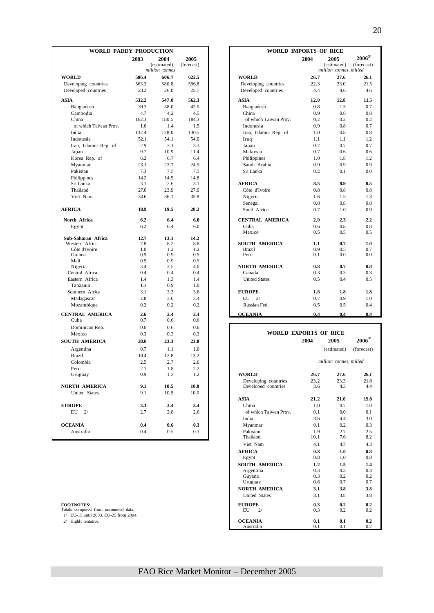| WORLD PADDY PRODUCTION          |            |                     |                    |                                       | WORLD IMPORTS OF RICE |                        |                           |  |  |  |
|---------------------------------|------------|---------------------|--------------------|---------------------------------------|-----------------------|------------------------|---------------------------|--|--|--|
|                                 | 2003       | 2004<br>(estimated) | 2005<br>(forecast) |                                       | 2004                  | 2005<br>(estimated)    | $2006^{3/}$<br>(forecast) |  |  |  |
|                                 |            | million tonnes      |                    |                                       |                       | million tonnes, milled |                           |  |  |  |
| <b>WORLD</b>                    | 586.4      | 606.7               | 622.5              | <b>WORLD</b>                          | 26.7                  | 27.6                   | 26.1                      |  |  |  |
| Developing countries            | 563.2      | 580.8               | 596.8              | Developing countries                  | 22.3                  | 23.0                   | 21.5                      |  |  |  |
| Developed countries             | 23.2       | 26.0                | 25.7               | Developed countries                   | 4.4                   | 4.6                    | 4.6                       |  |  |  |
| <b>ASIA</b>                     | 532.2      | 547.0               | 562.3              | <b>ASIA</b>                           | 12.0                  | 12.8                   | 11.5                      |  |  |  |
| Bangladesh                      | 39.3       | 38.0                | 42.0               | Bangladesh                            | 0.8                   | 1.3                    | 0.7                       |  |  |  |
| Cambodia                        | 4.7        | 4.2                 | 4.5                | China                                 | 0.9                   | 0.6                    | 0.8                       |  |  |  |
| China                           | 162.3      | 180.5               | 184.3              | of which Taiwan Prov.                 | 0.2                   | 0.2                    | 0.2                       |  |  |  |
| of which Taiwan Prov.           | 1.6        | 1.4                 | 1.5                | Indonesia                             | 0.9                   | 0.8                    | 0.7                       |  |  |  |
| India                           | 132.4      | 128.0               | 130.5              | Iran, Islamic Rep. of                 | 1.0                   | 0.8                    | 0.8                       |  |  |  |
| Indonesia                       | 52.1       | 54.1                | 54.0               | Iraq                                  | 1.1                   | 1.1                    | 1.2                       |  |  |  |
| Iran, Islamic Rep. of           | 2.9        | 3.1                 | 3.3                | Japan                                 | 0.7                   | 0.7                    | 0.7                       |  |  |  |
| Japan                           | 9.7        | 10.9                | 11.4               | Malaysia                              | 0.7                   | 0.6                    | 0.6                       |  |  |  |
| Korea Rep. of                   | 6.2        | 6.7                 | 6.4                | Philippines                           | 1.0                   | 1.8                    | 1.2                       |  |  |  |
| Myanmar                         | 23.1       | 23.7                | 24.5               | Saudi Arabia                          | 0.9                   | 0.9                    | 0.9                       |  |  |  |
| Pakistan                        | 7.3        | 7.5                 | 7.5                | Sri Lanka                             | 0.2                   | 0.1                    | 0.0                       |  |  |  |
| Philippines                     | 14.2       | 14.5                | 14.8               |                                       |                       |                        |                           |  |  |  |
| Sri Lanka                       | 3.1        | 2.6                 | 3.1                | <b>AFRICA</b>                         | 8.5                   | 8.9                    | 8.5                       |  |  |  |
| Thailand                        | 27.0       | 23.9                | 27.0               | Côte d'Ivoire                         | 0.8                   | 0.8                    | 0.8                       |  |  |  |
| Viet Nam                        | 34.6       | 36.1                | 35.8               | Nigeria                               | 1.6                   | 1.5                    | 1.3                       |  |  |  |
|                                 |            |                     |                    | Senegal                               | 0.8                   | 0.8                    | 0.8                       |  |  |  |
| <b>AFRICA</b>                   | 18.9       | 19.5                | 20.2               | South Africa                          | 0.7                   | 1.0                    | 0.9                       |  |  |  |
| North Africa                    | 6.2        | 6.4                 | 6.0                | <b>CENTRAL AMERICA</b>                | 2.0                   | 2.3                    | 2.2                       |  |  |  |
| Egypt                           | 6.2        | 6.4                 | 6.0                | Cuba                                  | 0.6                   | 0.8                    | 0.8                       |  |  |  |
|                                 |            |                     |                    | Mexico                                | 0.5                   | 0.5                    | 0.5                       |  |  |  |
| Sub-Saharan Africa              | 12.7       | 13.1                | 14.2               |                                       |                       |                        |                           |  |  |  |
| Western Africa<br>Côte d'Ivoire | 7.8<br>1.0 | 8.2<br>1.2          | 8.8<br>1.2         | <b>SOUTH AMERICA</b><br><b>Brazil</b> | 1.1<br>0.9            | 0.7<br>0.5             | 1.0<br>0.7                |  |  |  |
| Guinea                          | 0.9        | 0.9                 | 0.9                | Peru                                  | 0.1                   | 0.0                    | 0.0                       |  |  |  |
| Mali                            | 0.9        | 0.9                 | 0.9                |                                       |                       |                        |                           |  |  |  |
| Nigeria                         | 3.4        | 3.5                 | 4.0                | <b>NORTH AMERICA</b>                  | 0.8                   | 0.7                    | 0.8                       |  |  |  |
| Central Africa                  | 0.4        | 0.4                 | 0.4                | Canada                                | 0.3                   | 0.3                    | 0.3                       |  |  |  |
| Eastern Africa                  | 1.4        | 1.3                 | 1.4                | <b>United States</b>                  | 0.5                   | 0.4                    | 0.5                       |  |  |  |
| Tanzania                        | 1.1        | 0.9                 | 1.0                |                                       |                       |                        |                           |  |  |  |
| Southern Africa                 | 3.1        | 3.3                 | 3.6                | <b>EUROPE</b>                         | 1.8                   | 1.8                    | 1.8                       |  |  |  |
| Madagascar                      | 2.8        | 3.0                 | 3.4                | 2/<br>EU                              | 0.7                   | 0.9                    | 1.0                       |  |  |  |
| Mozambique                      | 0.2        | 0.2                 | 0.2                | Russian Fed.                          | 0.5                   | 0.5                    | 0.4                       |  |  |  |
| <b>CENTRAL AMERICA</b>          | 2.6        | 2.4                 | 2.4                | <b>OCEANIA</b>                        | 0.4                   | 0.4                    | 0.4                       |  |  |  |
| Cuba                            | 0.7        | 0.6                 | 0.6                |                                       |                       |                        |                           |  |  |  |
| Dominican Rep.                  | 0.6        | 0.6                 | 0.6                |                                       |                       |                        |                           |  |  |  |
| Mexico                          | 0.3        | 0.3                 | 0.3                |                                       | WORLD EXPORTS OF RICE |                        |                           |  |  |  |
| <b>SOUTH AMERICA</b>            | 20.0       | 23.3                | 23.8               |                                       | 2004                  | 2005                   | $2006^{3/2}$              |  |  |  |
| Argentina                       | 0.7        | 1.1                 | 1.0                |                                       |                       | (estimated)            | (forecast)                |  |  |  |
| <b>Brazil</b>                   | 10.4       | 12.8                | 13.2               |                                       |                       |                        |                           |  |  |  |
| Colombia                        | 2.5        | 2.7                 | 2.6                |                                       |                       | million tonnes, milled |                           |  |  |  |
| Peru                            | 2.1        | 1.8                 | 2.2                |                                       |                       |                        |                           |  |  |  |
| Uruguay                         | 0.9        | 1.3                 | 1.2                | WORLD                                 | 26.7                  | 27.6                   | 26.1                      |  |  |  |
|                                 |            |                     |                    | Developing countries                  | 23.2                  | 23.3                   | 21.8                      |  |  |  |
| NORTH AMERICA                   | 9.1        | 10.5                | 10.0               | Developed countries                   | 3.6                   | 4.3                    | 4.4                       |  |  |  |
| <b>United States</b>            | 9.1        | 10.5                | 10.0               |                                       |                       |                        |                           |  |  |  |
|                                 |            |                     |                    | <b>ASIA</b>                           | 21.2                  | 21.0                   | 19.8                      |  |  |  |
| <b>EUROPE</b>                   | 3.3        | 3.4                 | 3.4                | China                                 | 1.0                   | 0.7                    | 1.0                       |  |  |  |
| $EU$ 2/                         | 2.7        | 2.8                 | 2.6                | of which Taiwan Prov.                 | 0.1                   | $0.0\,$                | 0.1                       |  |  |  |
|                                 |            |                     |                    | India                                 | 3.6                   | 4.4                    | 3.0                       |  |  |  |
| <b>OCEANIA</b>                  | 0.4        | 0.6                 | 0.3                | Myanmar                               | 0.1                   | 0.2                    | 0.3                       |  |  |  |
| Australia                       | 0.4        | 0.5                 | 0.3                | Pakistan<br>Thailand                  | 1.9<br>10.1           | 2.7<br>7.6             | 2.5<br>8.2                |  |  |  |
|                                 |            |                     |                    |                                       |                       |                        |                           |  |  |  |

|            | <b>DY PRODUCTION</b>                  |                    |                        | <b>WORLD IMPORTS OF RICE</b> |                                               |                           |  |  |  |
|------------|---------------------------------------|--------------------|------------------------|------------------------------|-----------------------------------------------|---------------------------|--|--|--|
| 2003       | 2004<br>(estimated)<br>million tonnes | 2005<br>(forecast) |                        | 2004                         | 2005<br>(estimated)<br>million tonnes, milled | $2006^{3/}$<br>(forecast) |  |  |  |
| 586.4      | 606.7                                 | 622.5              | <b>WORLD</b>           | 26.7                         | 27.6                                          | 26.1                      |  |  |  |
| 563.2      | 580.8                                 | 596.8              | Developing countries   | 22.3                         | 23.0                                          | 21.5                      |  |  |  |
| 23.2       | 26.0                                  | 25.7               | Developed countries    | 4.4                          | 4.6                                           | 4.6                       |  |  |  |
| 532.2      | 547.0                                 | 562.3              | <b>ASIA</b>            | 12.0                         | 12.8                                          | 11.5                      |  |  |  |
| 39.3       | 38.0                                  | 42.0               | Bangladesh             | 0.8                          | 1.3                                           | 0.7                       |  |  |  |
| 4.7        | 4.2                                   | 4.5                | China                  | 0.9                          | 0.6                                           | 0.8                       |  |  |  |
| 162.3      | 180.5                                 | 184.3              | of which Taiwan Prov.  | 0.2                          | 0.2                                           | 0.2                       |  |  |  |
| 1.6        | 1.4                                   | 1.5                | Indonesia              | 0.9                          | 0.8                                           | 0.7                       |  |  |  |
| 132.4      | 128.0                                 | 130.5              | Iran, Islamic Rep. of  | 1.0                          | 0.8                                           | 0.8                       |  |  |  |
| 52.1       | 54.1                                  | 54.0               | Iraq                   | 1.1                          | 1.1                                           | 1.2                       |  |  |  |
| 2.9        | 3.1                                   | 3.3                | Japan                  | 0.7                          | 0.7                                           | 0.7                       |  |  |  |
| 9.7        | 10.9                                  | 11.4               | Malaysia               | 0.7                          | 0.6                                           | 0.6                       |  |  |  |
| 6.2        | 6.7                                   | 6.4                | Philippines            | 1.0                          | 1.8                                           | 1.2                       |  |  |  |
| 23.1       | 23.7                                  | 24.5               | Saudi Arabia           | 0.9                          | 0.9                                           | 0.9                       |  |  |  |
| 7.3        | 7.5                                   | 7.5                | Sri Lanka              | 0.2                          | 0.1                                           | 0.0                       |  |  |  |
| 14.2       | 14.5                                  | 14.8               |                        |                              |                                               |                           |  |  |  |
| 3.1        | 2.6                                   | 3.1                | <b>AFRICA</b>          | 8.5                          | 8.9                                           | 8.5                       |  |  |  |
| 27.0       | 23.9                                  | 27.0               | Côte d'Ivoire          | 0.8                          | 0.8                                           | $0.8\,$                   |  |  |  |
| 34.6       | 36.1                                  | 35.8               | Nigeria                | 1.6                          | 1.5                                           | 1.3                       |  |  |  |
|            |                                       |                    | Senegal                | 0.8                          | 0.8                                           | 0.8                       |  |  |  |
| 18.9       | 19.5                                  | 20.2               | South Africa           | 0.7                          | 1.0                                           | 0.9                       |  |  |  |
| 6.2        | 6.4                                   | 6.0                | <b>CENTRAL AMERICA</b> | 2.0                          | 2.3                                           | 2.2                       |  |  |  |
| 6.2        | 6.4                                   | 6.0                | Cuba                   | 0.6                          | 0.8                                           | $0.8\,$                   |  |  |  |
|            |                                       |                    | Mexico                 | 0.5                          | 0.5                                           | $0.5^{\circ}$             |  |  |  |
| 12.7       | 13.1                                  | 14.2               |                        |                              |                                               |                           |  |  |  |
| 7.8        | 8.2                                   | 8.8                | <b>SOUTH AMERICA</b>   | 1.1                          | 0.7                                           | 1.0                       |  |  |  |
| 1.0<br>0.9 | 1.2<br>0.9                            | 1.2<br>0.9         | <b>Brazil</b><br>Peru  | 0.9<br>0.1                   | 0.5<br>0.0                                    | 0.7<br>0.0                |  |  |  |
| 0.9        | 0.9                                   | 0.9                |                        |                              |                                               |                           |  |  |  |
| 3.4        | 3.5                                   | 4.0                | <b>NORTH AMERICA</b>   | 0.8                          | 0.7                                           | 0.8                       |  |  |  |
| 0.4        | 0.4                                   | 0.4                | Canada                 | 0.3                          | 0.3                                           | 0.3                       |  |  |  |
| 1.4        | 1.3                                   | 1.4                | <b>United States</b>   | 0.5                          | 0.4                                           | 0.5                       |  |  |  |
| 1.1        | 0.9                                   | 1.0                |                        |                              |                                               |                           |  |  |  |
| 3.1        | 3.3                                   | 3.6                | <b>EUROPE</b>          | 1.8                          | 1.8                                           | 1.8                       |  |  |  |
| 2.8        | 3.0                                   | 3.4                | 2/<br>EU               | 0.7                          | 0.9                                           | 1.0                       |  |  |  |
| 0.2        | 0.2                                   | 0.2                | Russian Fed.           | 0.5                          | 0.5                                           | 0.4                       |  |  |  |
| 2.6        | 2.4                                   | 2.4                | <b>OCEANIA</b>         | 0.4                          | 0.4                                           | 0.4                       |  |  |  |
| $\Omega$   | $\sim$                                | $\sim$             |                        |                              |                                               |                           |  |  |  |

| Dominican Rep.                        | V.O  | v.o  | U.O  |                              |      |                        |              |
|---------------------------------------|------|------|------|------------------------------|------|------------------------|--------------|
| Mexico                                | 0.3  | 0.3  | 0.3  | <b>WORLD EXPORTS OF RICE</b> |      |                        |              |
| <b>SOUTH AMERICA</b>                  | 20.0 | 23.3 | 23.8 |                              | 2004 | 2005                   | $2006^{3/2}$ |
| Argentina                             | 0.7  | 1.1  | 1.0  |                              |      | (estimated)            | (forecast)   |
| <b>Brazil</b>                         | 10.4 | 12.8 | 13.2 |                              |      |                        |              |
| Colombia                              | 2.5  | 2.7  | 2.6  |                              |      | million tonnes, milled |              |
| Peru                                  | 2.1  | 1.8  | 2.2  |                              |      |                        |              |
| Uruguay                               | 0.9  | 1.3  | 1.2  | <b>WORLD</b>                 | 26.7 | 27.6                   | 26.1         |
|                                       |      |      |      | Developing countries         | 23.2 | 23.3                   | 21.8         |
| <b>NORTH AMERICA</b>                  | 9.1  | 10.5 | 10.0 | Developed countries          | 3.6  | 4.3                    | 4.4          |
| <b>United States</b>                  | 9.1  | 10.5 | 10.0 |                              |      |                        |              |
|                                       |      |      |      | <b>ASIA</b>                  | 21.2 | 21.0                   | 19.8         |
| <b>EUROPE</b>                         | 3.3  | 3.4  | 3.4  | China                        | 1.0  | 0.7                    | 1.0          |
| $EU$ $2/$                             | 2.7  | 2.8  | 2.6  | of which Taiwan Prov.        | 0.1  | 0.0                    | 0.1          |
|                                       |      |      |      | India                        | 3.6  | 4.4                    | 3.0          |
| <b>OCEANIA</b>                        | 0.4  | 0.6  | 0.3  | Myanmar                      | 0.1  | 0.2                    | 0.3          |
| Australia                             | 0.4  | 0.5  | 0.3  | Pakistan                     | 1.9  | 2.7                    | 2.5          |
|                                       |      |      |      | Thailand                     | 10.1 | 7.6                    | 8.2          |
|                                       |      |      |      | Viet Nam                     | 4.1  | 4.7                    | 4.3          |
|                                       |      |      |      | <b>AFRICA</b>                | 0.8  | 1.0                    | 0.8          |
|                                       |      |      |      | Egypt                        | 0.8  | 1.0                    | 0.8          |
|                                       |      |      |      | <b>SOUTH AMERICA</b>         | 1.2  | 1.5                    | 1.4          |
|                                       |      |      |      | Argentina                    | 0.3  | 0.3                    | 0.3          |
|                                       |      |      |      | Guyana                       | 0.3  | 0.2                    | 0.2          |
|                                       |      |      |      | Uruguay                      | 0.6  | 0.7                    | 0.7          |
|                                       |      |      |      | <b>NORTH AMERICA</b>         | 3.1  | 3.8                    | 3.8          |
|                                       |      |      |      | <b>United States</b>         | 3.1  | 3.8                    | 3.8          |
| <b>FOOTNOTES:</b>                     |      |      |      | <b>EUROPE</b>                | 0.3  | 0.2                    | 0.2          |
| Totals computed from unrounded data.  |      |      |      | EU<br>2/                     | 0.3  | 0.2                    | 0.2          |
| 1/ EU-15 until 2003, EU-25 from 2004. |      |      |      |                              |      |                        |              |
| 2/ Highly tentative.                  |      |      |      | <b>OCEANIA</b>               | 0.1  | 0.1                    | 0.2          |
|                                       |      |      |      | Australia                    | 0.1  | 0.1                    | 0.2          |

20